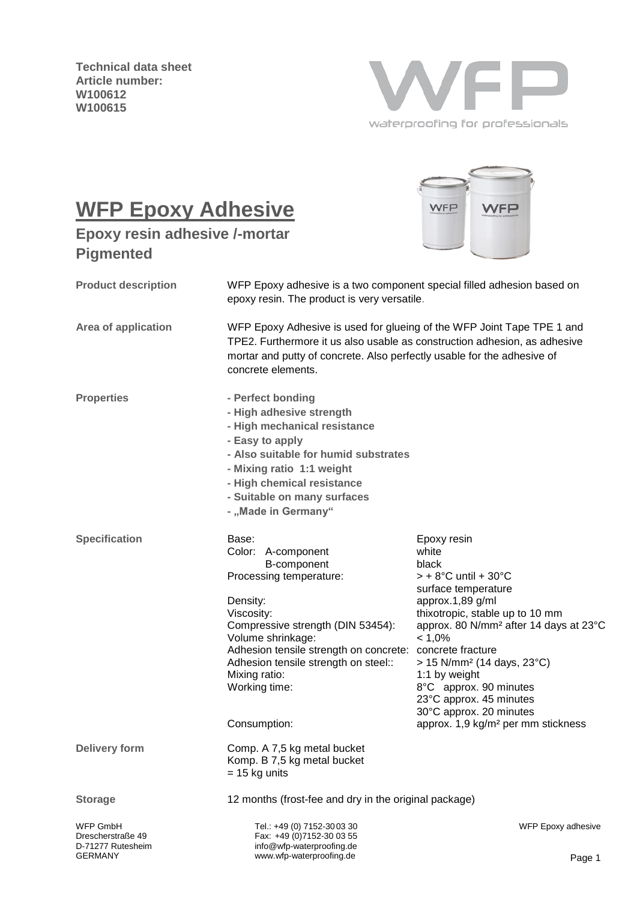**Technical data sheet Article number: W100612 W100615**



VFP

WFP

# **WFP Epoxy Adhesive**

**Epoxy resin adhesive /-mortar Pigmented**